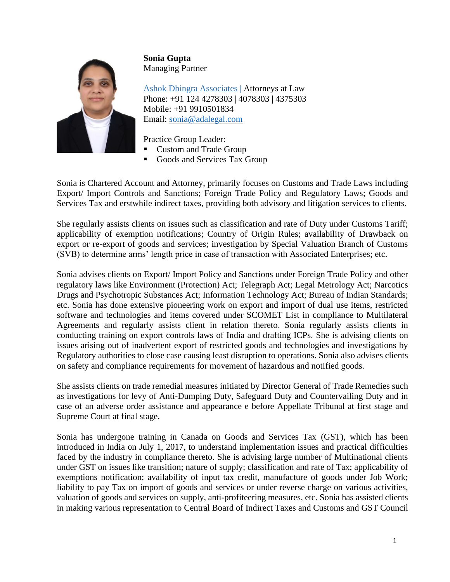

**Sonia Gupta** Managing Partner

Ashok Dhingra Associates | Attorneys at Law Phone: +91 124 4278303 | 4078303 | 4375303 Mobile: +91 9910501834 Email: [sonia@adalegal.com](mailto:sonia@adalegal.com)

Practice Group Leader:

- **Custom and Trade Group**
- Goods and Services Tax Group

Sonia is Chartered Account and Attorney, primarily focuses on Customs and Trade Laws including Export/ Import Controls and Sanctions; Foreign Trade Policy and Regulatory Laws; Goods and Services Tax and erstwhile indirect taxes, providing both advisory and litigation services to clients.

She regularly assists clients on issues such as classification and rate of Duty under Customs Tariff; applicability of exemption notifications; Country of Origin Rules; availability of Drawback on export or re-export of goods and services; investigation by Special Valuation Branch of Customs (SVB) to determine arms' length price in case of transaction with Associated Enterprises; etc.

Sonia advises clients on Export/ Import Policy and Sanctions under Foreign Trade Policy and other regulatory laws like Environment (Protection) Act; Telegraph Act; Legal Metrology Act; Narcotics Drugs and Psychotropic Substances Act; Information Technology Act; Bureau of Indian Standards; etc. Sonia has done extensive pioneering work on export and import of dual use items, restricted software and technologies and items covered under SCOMET List in compliance to Multilateral Agreements and regularly assists client in relation thereto. Sonia regularly assists clients in conducting training on export controls laws of India and drafting ICPs. She is advising clients on issues arising out of inadvertent export of restricted goods and technologies and investigations by Regulatory authorities to close case causing least disruption to operations. Sonia also advises clients on safety and compliance requirements for movement of hazardous and notified goods.

She assists clients on trade remedial measures initiated by Director General of Trade Remedies such as investigations for levy of Anti-Dumping Duty, Safeguard Duty and Countervailing Duty and in case of an adverse order assistance and appearance e before Appellate Tribunal at first stage and Supreme Court at final stage.

Sonia has undergone training in Canada on Goods and Services Tax (GST), which has been introduced in India on July 1, 2017, to understand implementation issues and practical difficulties faced by the industry in compliance thereto. She is advising large number of Multinational clients under GST on issues like transition; nature of supply; classification and rate of Tax; applicability of exemptions notification; availability of input tax credit, manufacture of goods under Job Work; liability to pay Tax on import of goods and services or under reverse charge on various activities, valuation of goods and services on supply, anti-profiteering measures, etc. Sonia has assisted clients in making various representation to Central Board of Indirect Taxes and Customs and GST Council